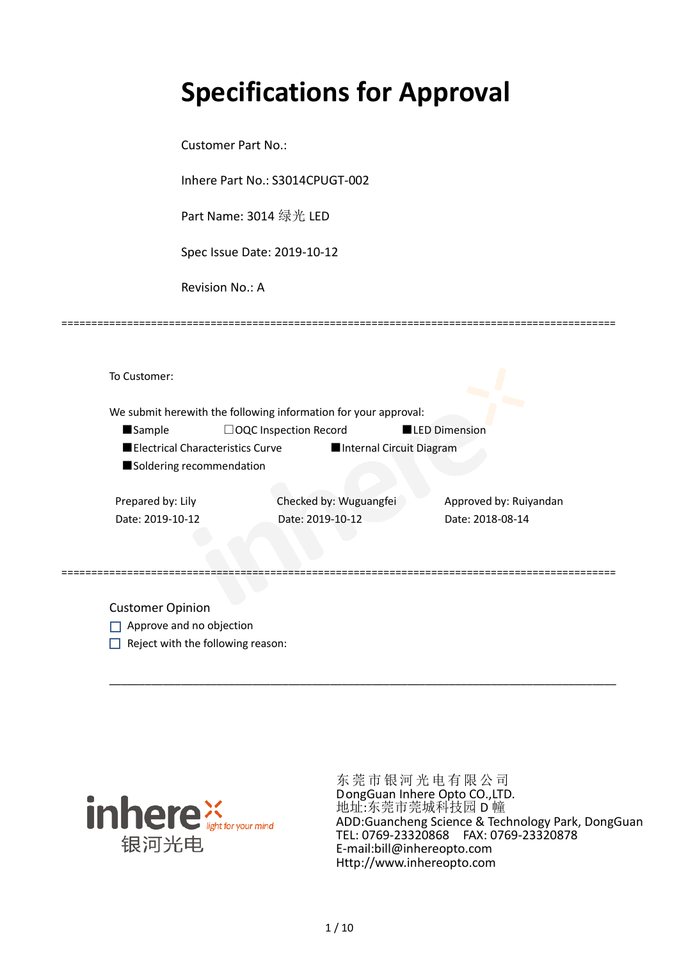# **Specifications for Approval**

Customer Part No.:

Inhere Part No.: S3014CPUGT-002

Part Name: 3014 绿光 LED

Spec Issue Date: 2019-10-12

Revision No.: A

|                                  | We submit herewith the following information for your approval: |                        |
|----------------------------------|-----------------------------------------------------------------|------------------------|
| <b>Sample</b>                    | $\Box$ OQC Inspection Record                                    | <b>LED Dimension</b>   |
| Electrical Characteristics Curve | Internal Circuit Diagram                                        |                        |
| Soldering recommendation         |                                                                 |                        |
| Prepared by: Lily                | Checked by: Wuguangfei                                          | Approved by: Ruiyandan |
|                                  | Date: 2019-10-12                                                | Date: 2018-08-14       |

=============================================================================================

Customer Opinion

- Approve and no objection
- $\Box$  Reject with the following reason:



东莞市银河光电有限公司 DongGuan Inhere Opto CO.,LTD. 地址:东莞市莞城科技园 D 幢 ADD:Guancheng Science & Technology Park, DongGuan TEL: 0769-23320868 FAX: 0769-23320878 E-mail:bill@inhereopto.com Http://www.inhereopto.com

\_\_\_\_\_\_\_\_\_\_\_\_\_\_\_\_\_\_\_\_\_\_\_\_\_\_\_\_\_\_\_\_\_\_\_\_\_\_\_\_\_\_\_\_\_\_\_\_\_\_\_\_\_\_\_\_\_\_\_\_\_\_\_\_\_\_\_\_\_\_\_\_\_\_\_\_\_\_\_\_\_\_\_\_\_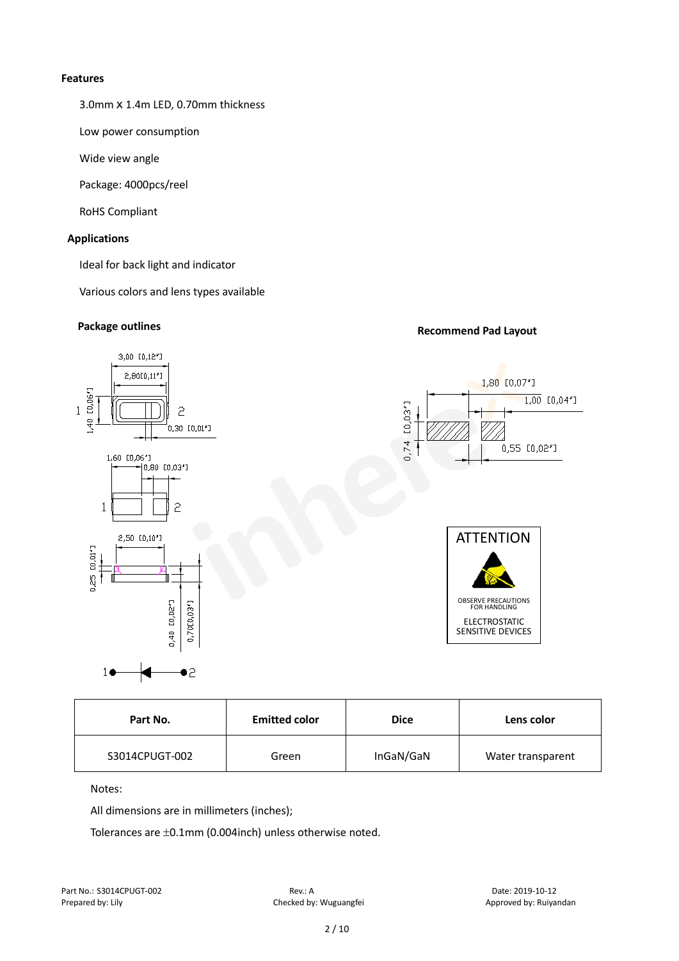#### **Features**

3.0mmⅹ1.4m LED, 0.70mm thickness

Low power consumption

Wide view angle

Package: 4000pcs/reel

RoHS Compliant

#### **Applications**

Ideal for back light and indicator

Various colors and lens types available

# **Package outlines Recommend Pad Layout**



| Part No.       | <b>Emitted color</b> | <b>Dice</b> | Lens color        |
|----------------|----------------------|-------------|-------------------|
| S3014CPUGT-002 | Green                | InGaN/GaN   | Water transparent |

#### Notes:

All dimensions are in millimeters (inches);

Tolerances are ±0.1mm (0.004inch) unless otherwise noted.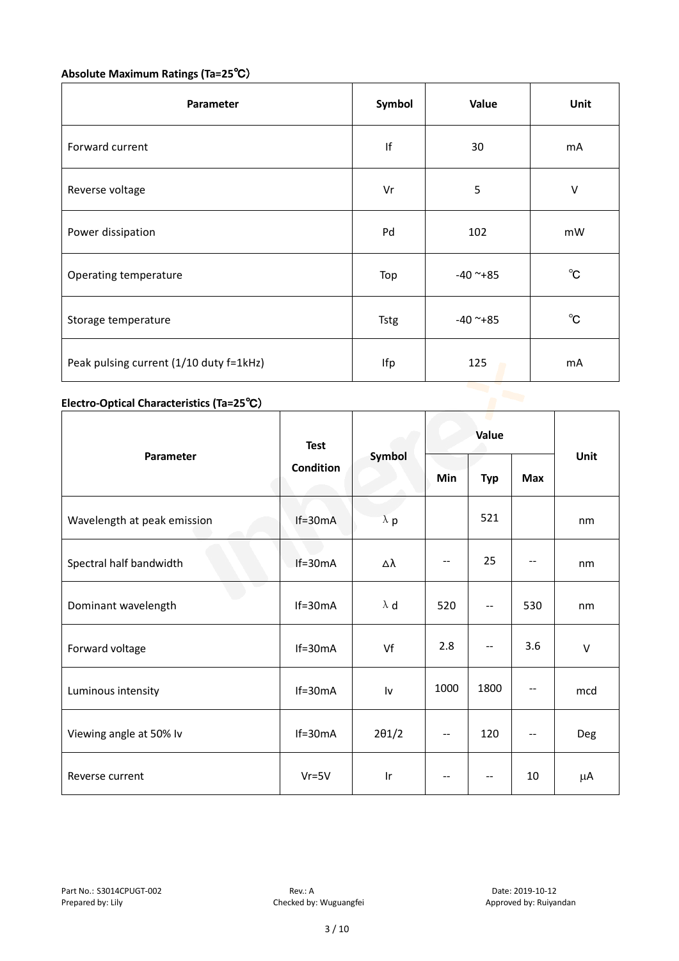# **Absolute Maximum Ratings (Ta=25**℃)

| Parameter                               | Symbol      | Value      | Unit         |
|-----------------------------------------|-------------|------------|--------------|
| Forward current                         | If          | 30         | mA           |
| Reverse voltage                         | Vr          | 5          | V            |
| Power dissipation                       | Pd          | 102        | mW           |
| Operating temperature                   | Top         | $-40$ ~+85 | $^{\circ}$ C |
| Storage temperature                     | <b>Tstg</b> | $-40$ ~+85 | $^{\circ}$ C |
| Peak pulsing current (1/10 duty f=1kHz) | Ifp         | 125        | mA           |

# **Electro-Optical Characteristics (Ta=25**℃)

|                             | <b>Test</b><br>Condition | Symbol        | Value   |                          |                          |        |
|-----------------------------|--------------------------|---------------|---------|--------------------------|--------------------------|--------|
| Parameter                   |                          |               | Min     | <b>Typ</b>               | <b>Max</b>               | Unit   |
| Wavelength at peak emission | $If=30mA$                | $\lambda$ p   |         | 521                      |                          | nm     |
| Spectral half bandwidth     | $If=30mA$                | Δλ            | $-$     | 25                       |                          | nm     |
| Dominant wavelength         | $If=30mA$                | $\lambda$ d   | 520     | --                       | 530                      | nm     |
| Forward voltage             | $If=30mA$                | Vf            | 2.8     | $\overline{\phantom{m}}$ | 3.6                      | $\vee$ |
| Luminous intensity          | $If=30mA$                | Iv            | 1000    | 1800                     |                          | mcd    |
| Viewing angle at 50% lv     | $If=30mA$                | $2\theta$ 1/2 | --      | 120                      | $\overline{\phantom{a}}$ | Deg    |
| Reverse current             | $Vr = 5V$                | Ir            | $-\, -$ | $-\,-$                   | 10                       | μA     |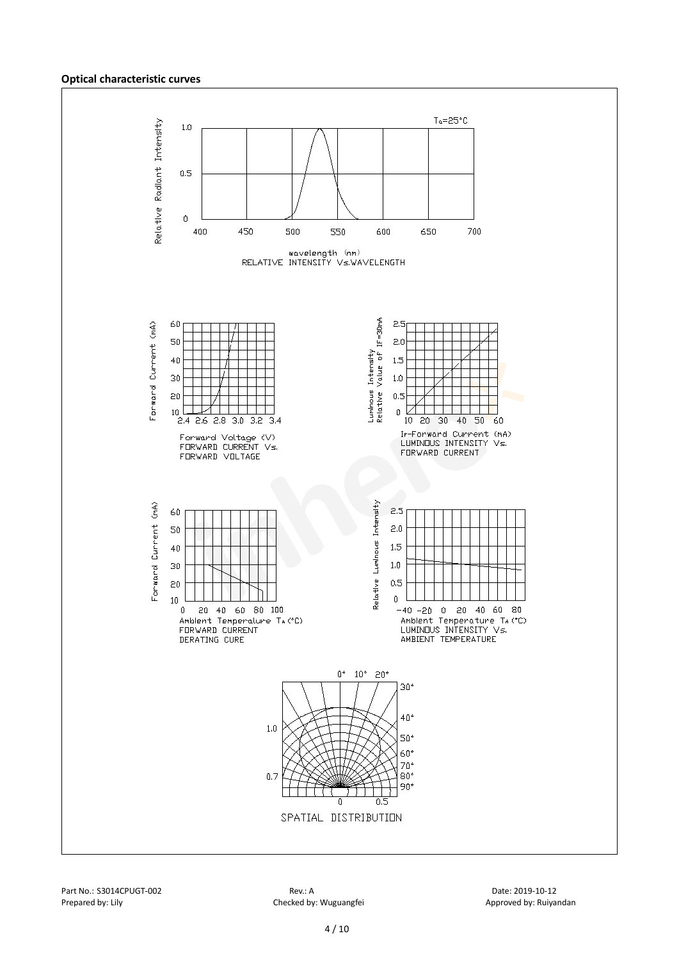#### **Optical characteristic curves**

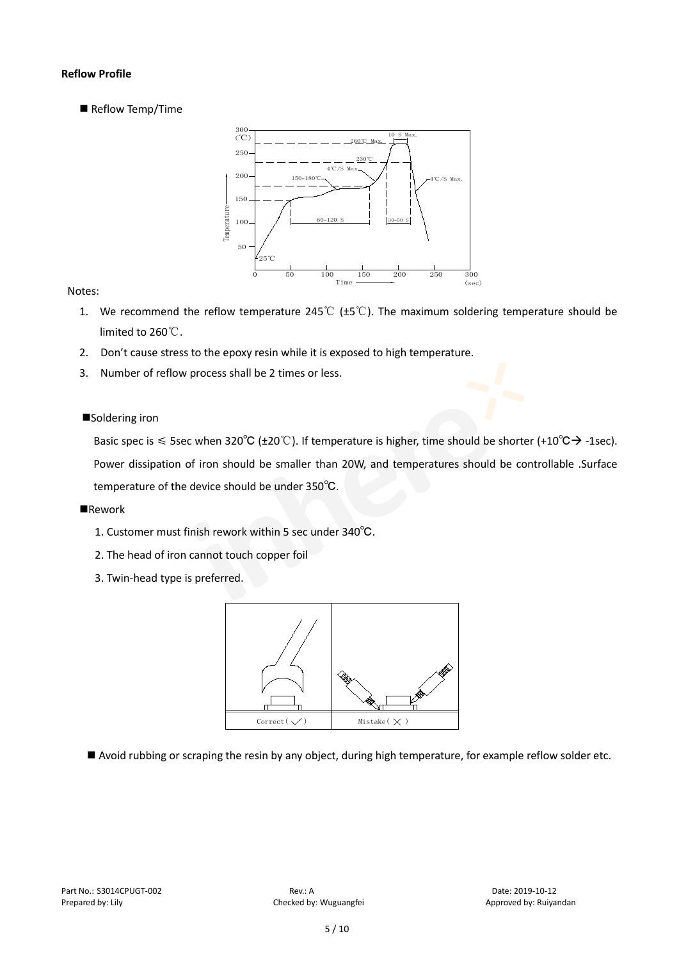#### **Reflow Profile**

Reflow Temp/Time



#### Notes:

- 1. We recommend the reflow temperature 245℃ (±5℃). The maximum soldering temperature should be limited to 260℃.
- 2. Don't cause stress to the epoxy resin while it is exposed to high temperature.
- 3. Number of reflow process shall be 2 times or less.

#### ■Soldering iron

Basic spec is  $\leq$  5sec when 320°C (±20°C). If temperature is higher, time should be shorter (+10°C $\rightarrow$ -1sec). Power dissipation of iron should be smaller than 20W, and temperatures should be controllable .Surface temperature of the device should be under 350℃.

#### **Rework**

- 1. Customer must finish rework within 5 sec under 340℃.
- 2. The head of iron cannot touch copper foil
- 3. Twin-head type is preferred.



Avoid rubbing or scraping the resin by any object, during high temperature, for example reflow solder etc.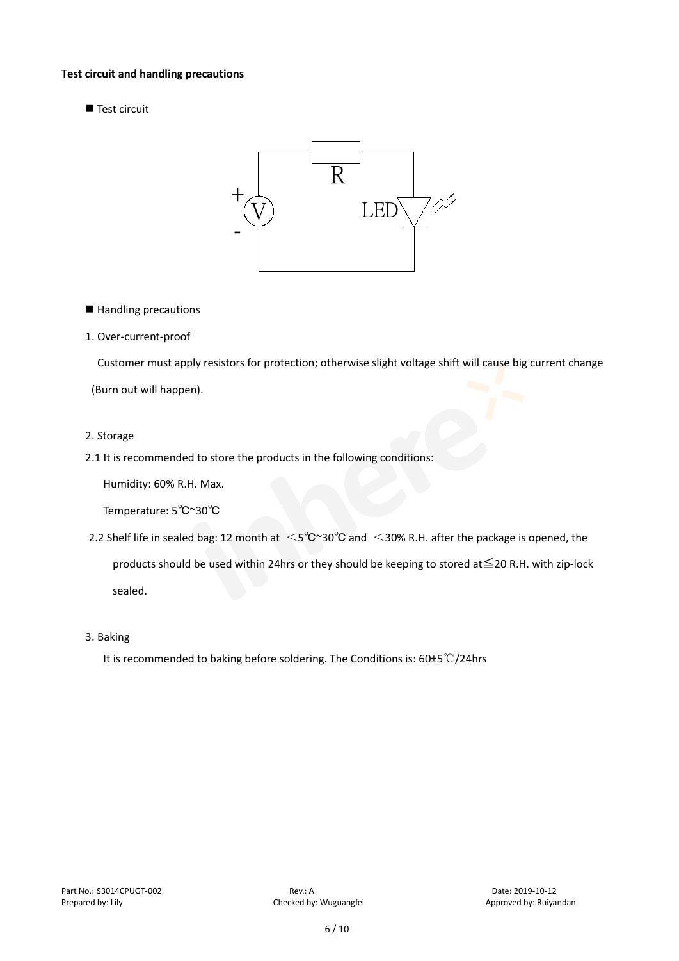#### T**est circuit and handling precautions**

Test circuit



■ Handling precautions

#### 1. Over-current-proof

Customer must apply resistors for protection; otherwise slight voltage shift will cause big current change

(Burn out will happen).

#### 2. Storage

2.1 It is recommended to store the products in the following conditions:

Humidity: 60% R.H. Max.

Temperature: 5℃~30℃

- 2.2 Shelf life in sealed bag: 12 month at <5℃~30°C and <30% R.H. after the package is opened, the products should be used within 24hrs or they should be keeping to stored at≦20 R.H. with zip-lock sealed.
- 3. Baking

It is recommended to baking before soldering. The Conditions is: 60±5℃/24hrs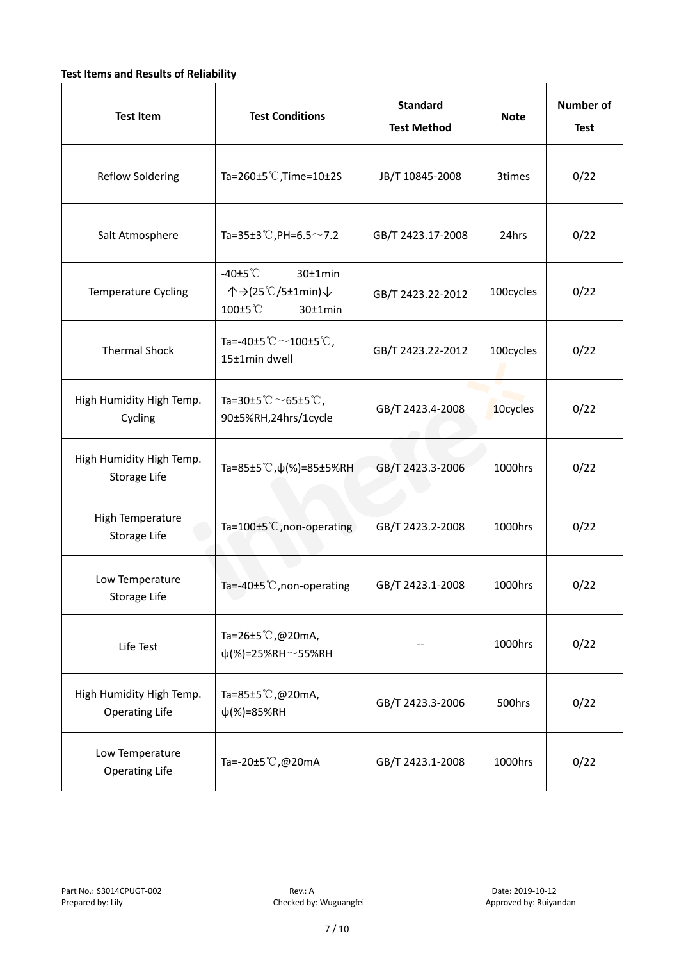### **Test Items and Results of Reliability**

| <b>Test Item</b>                                  | <b>Standard</b><br><b>Test Conditions</b><br><b>Test Method</b>                |                   | <b>Note</b> | <b>Number of</b><br><b>Test</b> |
|---------------------------------------------------|--------------------------------------------------------------------------------|-------------------|-------------|---------------------------------|
| <b>Reflow Soldering</b>                           | Ta=260 $\pm$ 5 °C, Time=10 $\pm$ 2S                                            | JB/T 10845-2008   | 3times      | 0/22                            |
| Salt Atmosphere                                   | Ta=35±3°C, PH=6.5 $\sim$ 7.2                                                   | GB/T 2423.17-2008 | 24hrs       | 0/22                            |
| Temperature Cycling                               | -40 $±5^{\circ}$ C<br>$30±1$ min<br>个→(25℃/5±1min)↓<br>100±5°C<br>$30±1$ min   | GB/T 2423.22-2012 | 100cycles   | 0/22                            |
| <b>Thermal Shock</b>                              | Ta=-40±5 $\degree \text{C}$ $\sim$ 100±5 $\degree \text{C}$ ,<br>15±1min dwell | GB/T 2423.22-2012 | 100cycles   | 0/22                            |
| High Humidity High Temp.<br>Cycling               | Ta=30±5 °C $\sim$ 65±5 °C,<br>90±5%RH,24hrs/1cycle                             | GB/T 2423.4-2008  | 10cycles    | 0/22                            |
| High Humidity High Temp.<br>Storage Life          | Ta=85±5 °C, $\psi$ (%)=85±5%RH                                                 | GB/T 2423.3-2006  | 1000hrs     | 0/22                            |
| High Temperature<br><b>Storage Life</b>           | Ta=100±5°C, non-operating                                                      | GB/T 2423.2-2008  | 1000hrs     | 0/22                            |
| Low Temperature<br>Storage Life                   | Ta=-40±5℃, non-operating                                                       | GB/T 2423.1-2008  | 1000hrs     | 0/22                            |
| Life Test                                         | Ta=26±5℃,@20mA,<br>$\psi$ (%)=25%RH~55%RH                                      |                   | 1000hrs     | 0/22                            |
| High Humidity High Temp.<br><b>Operating Life</b> | Ta=85±5 $\degree$ C, @20mA,<br>$\psi$ (%)=85%RH                                | GB/T 2423.3-2006  | 500hrs      | 0/22                            |
| Low Temperature<br><b>Operating Life</b>          | Ta=-20±5℃,@20mA                                                                | GB/T 2423.1-2008  | 1000hrs     | 0/22                            |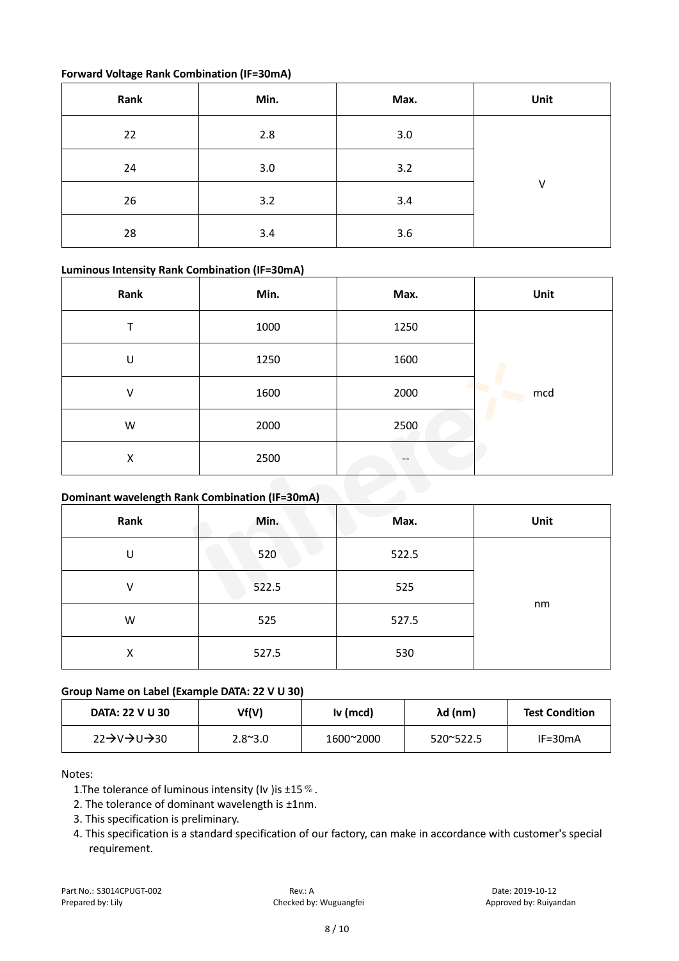### **Forward Voltage Rank Combination (IF=30mA)**

| Rank | Min. | Max. | Unit |
|------|------|------|------|
| 22   | 2.8  | 3.0  |      |
| 24   | 3.0  | 3.2  |      |
| 26   | 3.2  | 3.4  | V    |
| 28   | 3.4  | 3.6  |      |

### **Luminous Intensity Rank Combination (IF=30mA)**

| Rank | Min. | Max. | Unit |
|------|------|------|------|
| ᠇    | 1000 | 1250 |      |
| U    | 1250 | 1600 |      |
| V    | 1600 | 2000 | mcd  |
| W    | 2000 | 2500 |      |
| х    | 2500 | $-$  |      |

## **Dominant wavelength Rank Combination (IF=30mA)**

| Rank | Min.  | Max.  | Unit |
|------|-------|-------|------|
| U    | 520   | 522.5 |      |
| V    | 522.5 | 525   |      |
| W    | 525   | 527.5 | nm   |
| X    | 527.5 | 530   |      |

#### **Group Name on Label (Example DATA: 22 V U 30)**

| DATA: 22 V U 30 | Vf(V)           | Iv (mcd)  | λd (nm)   | <b>Test Condition</b> |
|-----------------|-----------------|-----------|-----------|-----------------------|
| 22→V→U→30       | $2.8^{\sim}3.0$ | 1600~2000 | 520~522.5 | $IF = 30mA$           |

#### Notes:

1. The tolerance of luminous intensity (Iv ) is  $\pm 15\%$ .

- 2. The tolerance of dominant wavelength is ±1nm.
- 3. This specification is preliminary.
- 4. This specification is a standard specification of our factory, can make in accordance with customer's special requirement.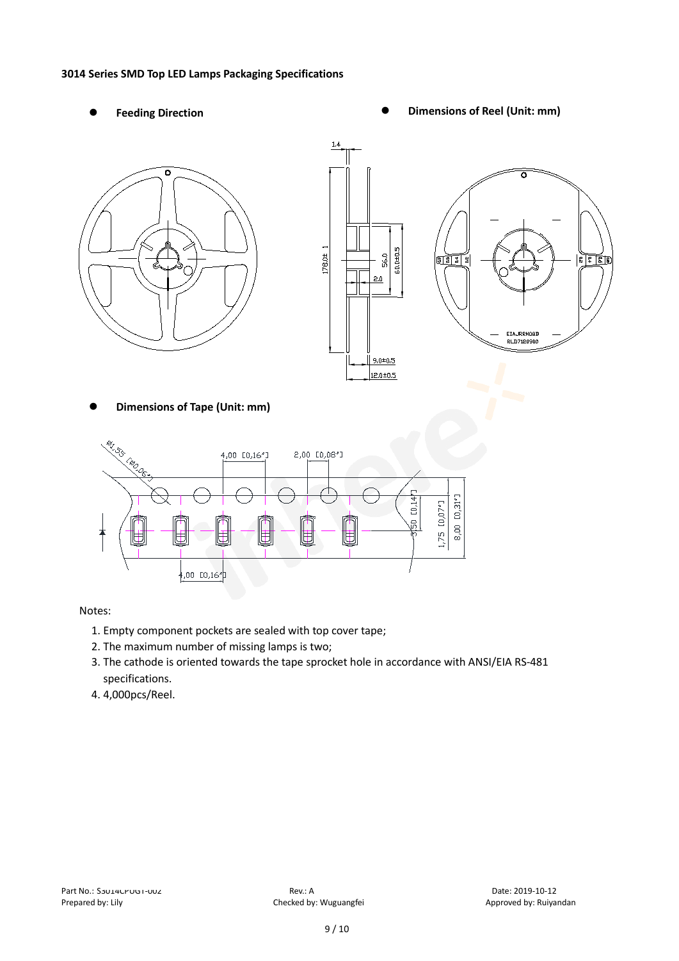#### **3014 Series SMD Top LED Lamps Packaging Specifications**

- 
- Feeding Direction **Constanting Constanting Constanting Constanting Constanting Constanting Constanting Constanting Constanting Constanting Constanting Constanting Constanting Constanting Constanting Constanting Constanting**





**Dimensions of Tape (Unit: mm)**



#### Notes:

- 1. Empty component pockets are sealed with top cover tape;
- 2. The maximum number of missing lamps is two;
- 3. The cathode is oriented towards the tape sprocket hole in accordance with ANSI/EIA RS-481 specifications.
- 4. 4,000pcs/Reel.